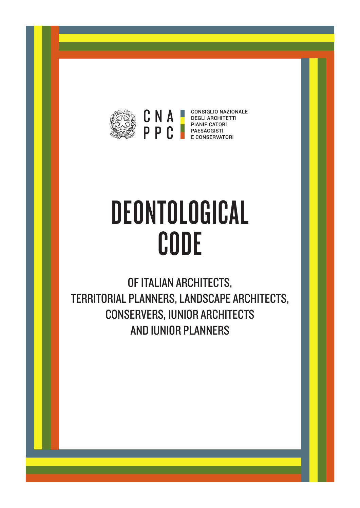

**CONSIGLIO NAZIONALE DEGLI ARCHITETTI** PIANIFICATORI E CONSERVATORI

# DEONTOLOGICAL CODE

OF ITALIAN ARCHITECTS, TERRITORIAL PLANNERS, LANDSCAPE ARCHITECTS, CONSERVERS, IUNIOR ARCHITECTS AND IUNIOR PLANNERS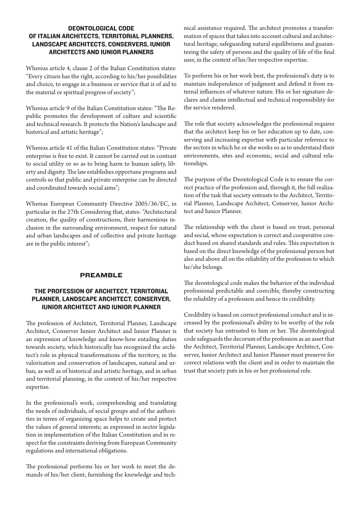# DEONTOLOGICAL CODE OF ITALIAN ARCHITECTS, TERRITORIAL PLANNERS, LANDSCAPE ARCHITECTS, CONSERVERS, IUNIOR ARCHITECTS AND IUNIOR PLANNERS

Whereas article 4, clause 2 of the Italian Constitution states: "Every citizen has the right, according to his/her possibilities and choice, to engage in a business or service that is of aid to the material or spiritual progress of society";

Whereas article 9 of the Italian Constitution states: "The Republic promotes the development of culture and scientific and technical research. It protects the Nation's landscape and historical and artistic heritage";

Whereas article 41 of the Italian Constitution states: "Private enterprise is free to exist. It cannot be carried out in contrast to social utility or so as to bring harm to human safety, liberty and dignity. The law establishes opportune programs and controls so that public and private enterprise can be directed and coordinated towards social aims";

Whereas European Community Directive 2005/36/EC, in particular in the 27th Considering that, states: "Architectural creation, the quality of constructions, their harmonious inclusion in the surrounding environment, respect for natural and urban landscapes and of collective and private heritage are in the public interest";

# PREAMBLE

# THE PROFESSION OF ARCHITECT, TERRITORIAL PLANNER, LANDSCAPE ARCHITECT, CONSERVER, IUNIOR ARCHITECT AND IUNIOR PLANNER

The profession of Architect, Territorial Planner, Landscape Architect, Conserver Iunior Architect and Iunior Planner is an expression of knowledge and know-how entailing duties towards society, which historically has recognized the architect's role in physical transformations of the territory, in the valorization and conservation of landscapes, natural and urban, as well as of historical and artistic heritage, and in urban and territorial planning, in the context of his/her respective expertise.

In the professional's work, comprehending and translating the needs of individuals, of social groups and of the authorities in terms of organizing space helps to create and protect the values of general interests; as expressed in sector legislation in implementation of the Italian Constitution and in respect for the constraints deriving from European Community regulations and international obligations.

The professional performs his or her work to meet the demands of his/her client, furnishing the knowledge and technical assistance required. The architect promotes a transformation of spaces that takes into account cultural and architectural heritage, safeguarding natural equilibriums and guaranteeing the safety of persons and the quality of life of the final user, in the context of his/her respective expertise.

To perform his or her work best, the professional's duty is to maintain independence of judgment and defend it from external influences of whatever nature. His or her signature declares and claims intellectual and technical responsibility for the service rendered.

The role that society acknowledges the professional requires that the architect keep his or her education up to date, conserving and increasing expertise with particular reference to the sectors in which he or she works so as to understand their environments, sites and economic, social and cultural relationships.

The purpose of the Deontological Code is to ensure the correct practice of the profession and, through it, the full realization of the task that society entrusts to the Architect, Territorial Planner, Landscape Architect, Conserver, Iunior Architect and Iunior Planner.

The relationship with the client is based on trust, personal and social, whose expectation is correct and cooperative conduct based on shared standards and rules. This expectation is based on the direct knowledge of the professional person but also and above all on the reliability of the profession to which he/she belongs.

The deontological code makes the behavior of the individual professional predictable and coercible, thereby constructing the reliability of a profession and hence its credibility.

Credibility is based on correct professional conduct and is increased by the professional's ability to be worthy of the role that society has entrusted to him or her. The deontological code safeguards the decorum of the profession as an asset that the Architect, Territorial Planner, Landscape Architect, Conserver, Iunior Architect and Iunior Planner must preserve for correct relations with the client and in order to maintain the trust that society puts in his or her professional role.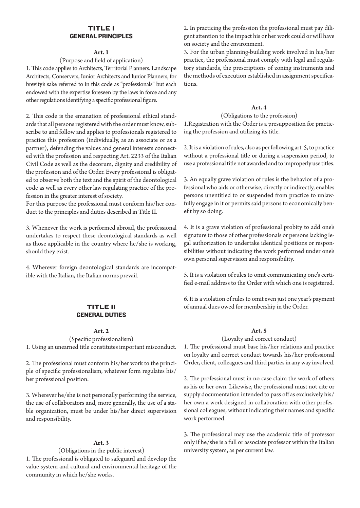# Title 1 GENERAL PRINCIPLES

#### **Art. 1**

#### (Purpose and field of application)

1. This code applies to Architects, Territorial Planners. Landscape Architects, Conservers, Iunior Architects and Iunior Planners, for brevity's sake referred to in this code as "professionals" but each endowed with the expertise foreseen by the laws in force and any other regulations identifying a specific professional figure.

2. This code is the emanation of professional ethical standards that all persons registered with the order must know, subscribe to and follow and applies to professionals registered to practice this profession (individually, as an associate or as a partner), defending the values and general interests connected with the profession and respecting Art. 2233 of the Italian Civil Code as well as the decorum, dignity and credibility of the profession and of the Order. Every professional is obligated to observe both the text and the spirit of the deontological code as well as every other law regulating practice of the profession in the greater interest of society.

For this purpose the professional must conform his/her conduct to the principles and duties described in Title II.

3. Whenever the work is performed abroad, the professional undertakes to respect these deontological standards as well as those applicable in the country where he/she is working, should they exist.

4. Wherever foreign deontological standards are incompatible with the Italian, the Italian norms prevail.

## Title II GENERAL DUTIES

#### **Art. 2**

(Specific professionalism)

1. Using an unearned title constitutes important misconduct.

2. The professional must conform his/her work to the principle of specific professionalism, whatever form regulates his/ her professional position.

3. Wherever he/she is not personally performing the service, the use of collaborators and, more generally, the use of a stable organization, must be under his/her direct supervision and responsibility.

#### **Art. 3**

(Obligations in the public interest)

1. The professional is obligated to safeguard and develop the value system and cultural and environmental heritage of the community in which he/she works.

2. In practicing the profession the professional must pay diligent attention to the impact his or her work could or will have on society and the environment.

3. For the urban planning-building work involved in his/her practice, the professional must comply with legal and regulatory standards, the prescriptions of zoning instruments and the methods of execution established in assignment specifications.

## **Art. 4**

(Obligations to the profession)

1.Registration with the Order is a presupposition for practicing the profession and utilizing its title.

2. It is a violation of rules, also as per following art. 5, to practice without a professional title or during a suspension period, to use a professional title not awarded and to improperly use titles.

3. An equally grave violation of rules is the behavior of a professional who aids or otherwise, directly or indirectly, enables persons unentitled to or suspended from practice to unlawfully engage in it or permits said persons to economically benefit by so doing.

4. It is a grave violation of professional probity to add one's signature to those of other professionals or persons lacking legal authorization to undertake identical positions or responsibilities without indicating the work performed under one's own personal supervision and responsibility.

5. It is a violation of rules to omit communicating one's certified e-mail address to the Order with which one is registered.

6. It is a violation of rules to omit even just one year's payment of annual dues owed for membership in the Order.

# **Art. 5**

(Loyalty and correct conduct)

1. The professional must base his/her relations and practice on loyalty and correct conduct towards his/her professional Order, client, colleagues and third parties in any way involved.

2. The professional must in no case claim the work of others as his or her own. Likewise, the professional must not cite or supply documentation intended to pass off as exclusively his/ her own a work designed in collaboration with other professional colleagues, without indicating their names and specific work performed.

3. The professional may use the academic title of professor only if he/she is a full or associate professor within the Italian university system, as per current law.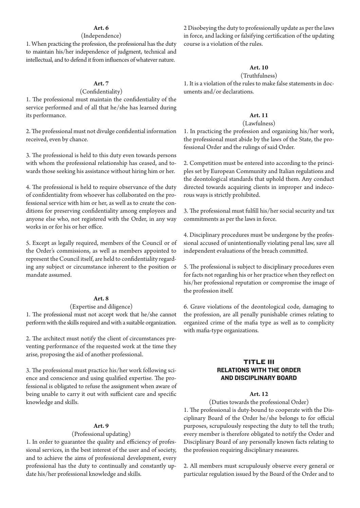# **Art. 6**

## (Independence)

1. When practicing the profession, the professional has the duty to maintain his/her independence of judgment, technical and intellectual, and to defend it from influences of whatever nature.

# **Art. 7**

# (Confidentiality)

1. The professional must maintain the confidentiality of the service performed and of all that he/she has learned during its performance.

2. The professional must not divulge confidential information received, even by chance.

3. The professional is held to this duty even towards persons with whom the professional relationship has ceased, and towards those seeking his assistance without hiring him or her.

4. The professional is held to require observance of the duty of confidentiality from whoever has collaborated on the professional service with him or her, as well as to create the conditions for preserving confidentiality among employees and anyone else who, not registered with the Order, in any way works in or for his or her office.

5. Except as legally required, members of the Council or of the Order's commissions, as well as members appointed to represent the Council itself, are held to confidentiality regarding any subject or circumstance inherent to the position or mandate assumed.

#### **Art. 8**

## (Expertise and diligence)

1. The professional must not accept work that he/she cannot perform with the skills required and with a suitable organization.

2. The architect must notify the client of circumstances preventing performance of the requested work at the time they arise, proposing the aid of another professional.

3. The professional must practice his/her work following science and conscience and using qualified expertise. The professional is obligated to refuse the assignment when aware of being unable to carry it out with sufficient care and specific knowledge and skills.

## **Art. 9**

#### (Professional updating)

1. In order to guarantee the quality and efficiency of professional services, in the best interest of the user and of society, and to achieve the aims of professional development, every professional has the duty to continually and constantly update his/her professional knowledge and skills.

2 Disobeying the duty to professionally update as per the laws in force, and lacking or falsifying certification of the updating course is a violation of the rules.

## **Art. 10**

## (Truthfulness)

1. It is a violation of the rules to make false statements in documents and/or declarations.

## **Art. 11**

## (Lawfulness)

1. In practicing the profession and organizing his/her work, the professional must abide by the laws of the State, the professional Order and the rulings of said Order.

2. Competition must be entered into according to the principles set by European Community and Italian regulations and the deontological standards that uphold them. Any conduct directed towards acquiring clients in improper and indecorous ways is strictly prohibited.

3. The professional must fulfill his/her social security and tax commitments as per the laws in force.

4. Disciplinary procedures must be undergone by the professional accused of unintentionally violating penal law, save all independent evaluations of the breach committed.

5. The professional is subject to disciplinary procedures even for facts not regarding his or her practice when they reflect on his/her professional reputation or compromise the image of the profession itself.

6. Grave violations of the deontological code, damaging to the profession, are all penally punishable crimes relating to organized crime of the mafia type as well as to complicity with mafia-type organizations.

# Title III RELATIONS WITH THE ORDER AND DISCIPLINARY BOARD

#### **Art. 12**

(Duties towards the professional Order)

1. The professional is duty-bound to cooperate with the Disciplinary Board of the Order he/she belongs to for official purposes, scrupulously respecting the duty to tell the truth; every member is therefore obligated to notify the Order and Disciplinary Board of any personally known facts relating to the profession requiring disciplinary measures.

2. All members must scrupulously observe every general or particular regulation issued by the Board of the Order and to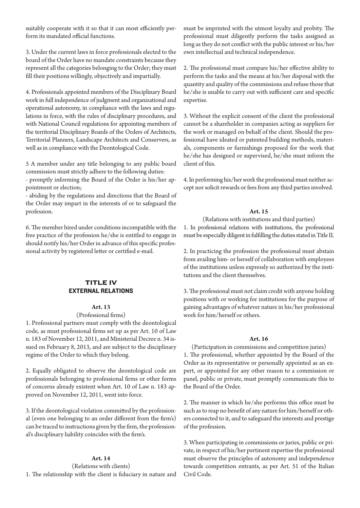suitably cooperate with it so that it can most efficiently perform its mandated official functions.

3. Under the current laws in force professionals elected to the board of the Order have no mandate constraints because they represent all the categories belonging to the Order; they must fill their positions willingly, objectively and impartially.

4. Professionals appointed members of the Disciplinary Board work in full independence of judgment and organizational and operational autonomy, in compliance with the laws and regulations in force, with the rules of disciplinary procedures, and with National Council regulations for appointing members of the territorial Disciplinary Boards of the Orders of Architects, Territorial Planners, Landscape Architects and Conservers, as well as in compliance with the Deontological Code.

5 A member under any title belonging to any public board commission must strictly adhere to the following duties:

- promptly informing the Board of the Order is his/her appointment or election;

- abiding by the regulations and directions that the Board of the Order may impart in the interests of or to safeguard the profession.

6. The member hired under conditions incompatible with the free practice of the profession he/she is entitled to engage in should notify his/her Order in advance of this specific professional activity by registered letter or certified e-mail.

# **TITLE IV** EXTERNAL RELATIONS

## **Art. 13**

#### (Professional firms)

1. Professional partners must comply with the deontological code, as must professional firms set up as per Art. 10 of Law n. 183 of November 12, 2011, and Ministerial Decree n. 34 issued on February 8, 2013, and are subject to the disciplinary regime of the Order to which they belong.

2. Equally obligated to observe the deontological code are professionals belonging to professional firms or other forms of concerns already existent when Art. 10 of Law n. 183 approved on November 12, 2011, went into force.

3. If the deontological violation committed by the professional (even one belonging to an order different from the firm's) can be traced to instructions given by the firm, the professional's disciplinary liability coincides with the firm's.

## **Art. 14**

(Relations with clients) 1. The relationship with the client is fiduciary in nature and must be imprinted with the utmost loyalty and probity. The professional must diligently perform the tasks assigned as long as they do not conflict with the public interest or his/her own intellectual and technical independence.

2. The professional must compare his/her effective ability to perform the tasks and the means at his/her disposal with the quantity and quality of the commissions and refuse those that he/she is unable to carry out with sufficient care and specific expertise.

3. Without the explicit consent of the client the professional cannot be a shareholder in companies acting as suppliers for the work or managed on behalf of the client. Should the professional have ideated or patented building methods, materials, components or furnishings proposed for the work that he/she has designed or supervised, he/she must inform the client of this.

4. In performing his/her work the professional must neither accept nor solicit rewards or fees from any third parties involved.

## **Art. 15**

## (Relations with institutions and third parties)

1. In professional relations with institutions, the professional must be especially diligent in fulfilling the duties stated in Title II.

2. In practicing the profession the professional must abstain from availing him- or herself of collaboration with employees of the institutions unless expressly so authorized by the institutions and the client themselves.

3. The professional must not claim credit with anyone holding positions with or working for institutions for the purpose of gaining advantages of whatever nature in his/her professional work for him/herself or others.

## **Art. 16**

(Participation in commissions and competition juries) 1. The professional, whether appointed by the Board of the Order as its representative or personally appointed as an expert, or appointed for any other reason to a commission or panel, public or private, must promptly communicate this to the Board of the Order.

2. The manner in which he/she performs this office must be such as to reap no benefit of any nature for him/herself or others connected to it, and to safeguard the interests and prestige of the profession.

3. When participating in commissions or juries, public or private, in respect of his/her pertinent expertise the professional must observe the principles of autonomy and independence towards competition entrants, as per Art. 51 of the Italian Civil Code.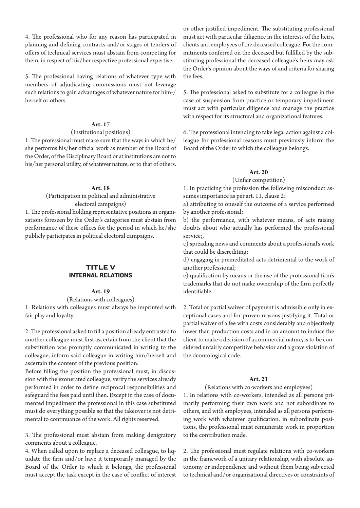4. The professional who for any reason has participated in planning and defining contracts and/or stages of tenders of offers of technical services must abstain from competing for them, in respect of his/her respective professional expertise.

5. The professional having relations of whatever type with members of adjudicating commissions must not leverage such relations to gain advantages of whatever nature for him-/ herself or others.

# **Art. 17**

## (Institutional positions)

1. The professional must make sure that the ways in which he/ she performs his/her official work as member of the Board of the Order, of the Disciplinary Board or at institutions are not to his/her personal utility, of whatever nature, or to that of others.

#### **Art. 18**

# (Participation in political and administrative electoral campaigns)

1. The professional holding representative positions in organizations foreseen by the Order's categories must abstain from performance of these offices for the period in which he/she publicly participates in political electoral campaigns.

# Title V INTERNAL RELATIONS

#### **Art. 19**

(Relations with colleagues)

1. Relations with colleagues must always be imprinted with fair play and loyalty.

2. The professional asked to fill a position already entrusted to another colleague must first ascertain from the client that the substitution was promptly communicated in writing to the colleague, inform said colleague in writing him/herself and ascertain the content of the previous position.

Before filling the position the professional must, in discussion with the exonerated colleague, verify the services already performed in order to define reciprocal responsibilities and safeguard the fees paid until then. Except in the case of documented impediment the professional in this case substituted must do everything possible so that the takeover is not detrimental to continuance of the work. All rights reserved.

3. The professional must abstain from making denigratory comments about a colleague.

4. When called upon to replace a deceased colleague, to liquidate the firm and/or have it temporarily managed by the Board of the Order to which it belongs, the professional must accept the task except in the case of conflict of interest

or other justified impediment. The substituting professional must act with particular diligence in the interests of the heirs, clients and employees of the deceased colleague. For the commitments conferred on the deceased but fulfilled by the substituting professional the deceased colleague's heirs may ask the Order's opinion about the ways of and criteria for sharing the fees.

5. The professional asked to substitute for a colleague in the case of suspension from practice or temporary impediment must act with particular diligence and manage the practice with respect for its structural and organizational features.

6. The professional intending to take legal action against a colleague for professional reasons must previously inform the Board of the Order to which the colleague belongs.

#### **Art. 20**

(Unfair competition)

1. In practicing the profession the following misconduct assumes importance as per art. 11, clause 2:

a) attributing to oneself the outcome of a service performed by another professional;

b) the performance, with whatever means, of acts raising doubts about who actually has performed the professional service;,

c) spreading news and comments about a professional's work that could be discrediting:

d) engaging in premeditated acts detrimental to the work of another professional;

e) qualification by means or the use of the professional firm's trademarks that do not make ownership of the firm perfectly identifiable.

2. Total or partial waiver of payment is admissible only in exceptional cases and for proven reasons justifying it. Total or partial waiver of a fee with costs considerably and objectively lower than production costs and in an amount to induce the client to make a decision of a commercial nature, is to be considered unfairly competitive behavior and a grave violation of the deontological code.

#### **Art. 21**

# (Relations with co-workers and employees)

1. In relations with co-workers, intended as all persons primarily performing their own work and not subordinate to others, and with employees, intended as all persons performing work with whatever qualification, in subordinate positions, the professional must remunerate work in proportion to the contribution made.

2. The professional must regulate relations with co-workers in the framework of a unitary relationship, with absolute autonomy or independence and without them being subjected to technical and/or organizational directives or constraints of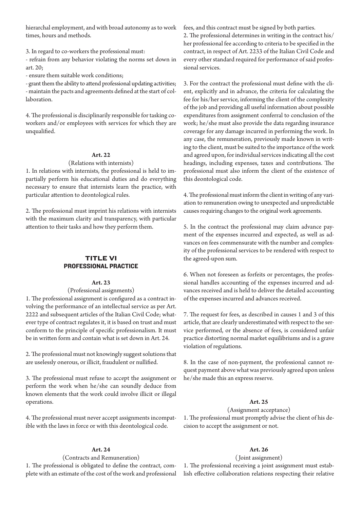hierarchal employment, and with broad autonomy as to work times, hours and methods.

3. In regard to co-workers the professional must:

- refrain from any behavior violating the norms set down in art. 20;

- ensure them suitable work conditions;

- grant them the ability to attend professional updating activities; - maintain the pacts and agreements defined at the start of collaboration.

4. The professional is disciplinarily responsible for tasking coworkers and/or employees with services for which they are unqualified.

## **Art. 22**

#### (Relations with internists)

1. In relations with internists, the professional is held to impartially perform his educational duties and do everything necessary to ensure that internists learn the practice, with particular attention to deontological rules.

2. The professional must imprint his relations with internists with the maximum clarity and transparency, with particular attention to their tasks and how they perform them.

# **TITLE VI** PROFESSIONAL PRACTICE

#### **Art. 23**

## (Professional assignments)

1. The professional assignment is configured as a contract involving the performance of an intellectual service as per Art. 2222 and subsequent articles of the Italian Civil Code; whatever type of contract regulates it, it is based on trust and must conform to the principle of specific professionalism. It must be in written form and contain what is set down in Art. 24.

2. The professional must not knowingly suggest solutions that are uselessly onerous, or illicit, fraudulent or nullified.

3. The professional must refuse to accept the assignment or perform the work when he/she can soundly deduce from known elements that the work could involve illicit or illegal operations.

4. The professional must never accept assignments incompatible with the laws in force or with this deontological code.

## **Art. 24**

#### (Contracts and Remuneration)

1. The professional is obligated to define the contract, complete with an estimate of the cost of the work and professional fees, and this contract must be signed by both parties.

2. The professional determines in writing in the contract his/ her professional fee according to criteria to be specified in the contract, in respect of Art. 2233 of the Italian Civil Code and every other standard required for performance of said professional services.

3. For the contract the professional must define with the client, explicitly and in advance, the criteria for calculating the fee for his/her service, informing the client of the complexity of the job and providing all useful information about possible expenditures from assignment conferral to conclusion of the work; he/she must also provide the data regarding insurance coverage for any damage incurred in performing the work. In any case, the remuneration, previously made known in writing to the client, must be suited to the importance of the work and agreed upon, for individual services indicating all the cost headings, including expenses, taxes and contributions. The professional must also inform the client of the existence of this deontological code.

4. The professional must inform the client in writing of any variation to remuneration owing to unexpected and unpredictable causes requiring changes to the original work agreements.

5. In the contract the professional may claim advance payment of the expenses incurred and expected, as well as advances on fees commensurate with the number and complexity of the professional services to be rendered with respect to the agreed-upon sum.

6. When not foreseen as forfeits or percentages, the professional handles accounting of the expenses incurred and advances received and is held to deliver the detailed accounting of the expenses incurred and advances received.

7. The request for fees, as described in causes 1 and 3 of this article, that are clearly underestimated with respect to the service performed, or the absence of fees, is considered unfair practice distorting normal market equilibriums and is a grave violation of regulations.

8. In the case of non-payment, the professional cannot request payment above what was previously agreed upon unless he/she made this an express reserve.

# **Art. 25**

#### (Assignment acceptance)

1. The professional must promptly advise the client of his decision to accept the assignment or not.

## **Art. 26**

#### ( Joint assignment)

1. The professional receiving a joint assignment must establish effective collaboration relations respecting their relative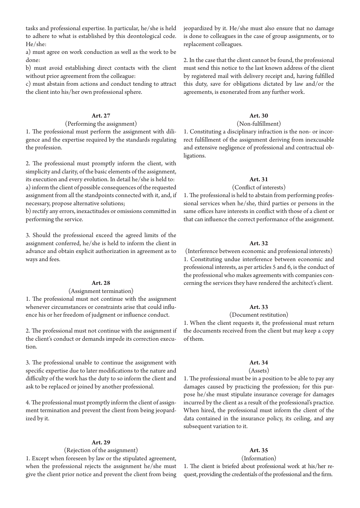tasks and professional expertise. In particular, he/she is held to adhere to what is established by this deontological code. He/she:

a) must agree on work conduction as well as the work to be done:

b) must avoid establishing direct contacts with the client without prior agreement from the colleague:

c) must abstain from actions and conduct tending to attract the client into his/her own professional sphere.

# **Art. 27**

#### (Performing the assignment)

1. The professional must perform the assignment with diligence and the expertise required by the standards regulating the profession.

2. The professional must promptly inform the client, with simplicity and clarity, of the basic elements of the assignment, its execution and every evolution. In detail he/she is held to: a) inform the client of possible consequences of the requested assignment from all the standpoints connected with it, and, if necessary, propose alternative solutions;

b) rectify any errors, inexactitudes or omissions committed in performing the service.

3. Should the professional exceed the agreed limits of the assignment conferred, he/she is held to inform the client in advance and obtain explicit authorization in agreement as to ways and fees.

## **Art. 28**

#### (Assignment termination)

1. The professional must not continue with the assignment whenever circumstances or constraints arise that could influence his or her freedom of judgment or influence conduct.

2. The professional must not continue with the assignment if the client's conduct or demands impede its correction execution.

3. The professional unable to continue the assignment with specific expertise due to later modifications to the nature and difficulty of the work has the duty to so inform the client and ask to be replaced or joined by another professional.

4. The professional must promptly inform the client of assignment termination and prevent the client from being jeopardized by it.

#### **Art. 29**

## (Rejection of the assignment)

1. Except when foreseen by law or the stipulated agreement, when the professional rejects the assignment he/she must give the client prior notice and prevent the client from being jeopardized by it. He/she must also ensure that no damage is done to colleagues in the case of group assignments, or to replacement colleagues.

2. In the case that the client cannot be found, the professional must send this notice to the last known address of the client by registered mail with delivery receipt and, having fulfilled this duty, save for obligations dictated by law and/or the agreements, is exonerated from any further work.

## **Art. 30**

### (Non-fulfillment)

1. Constituting a disciplinary infraction is the non- or incorrect fulfillment of the assignment deriving from inexcusable and extensive negligence of professional and contractual obligations.

## **Art. 31**

#### (Conflict of interests)

1. The professional is held to abstain from performing professional services when he/she, third parties or persons in the same offices have interests in conflict with those of a client or that can influence the correct performance of the assignment.

#### **Art. 32**

(Interference between economic and professional interests) 1. Constituting undue interference between economic and professional interests, as per articles 5 and 6, is the conduct of the professional who makes agreements with companies concerning the services they have rendered the architect's client.

# **Art. 33**

#### (Document restitution)

1. When the client requests it, the professional must return the documents received from the client but may keep a copy of them.

# **Art. 34**

#### (Assets)

1. The professional must be in a position to be able to pay any damages caused by practicing the profession; for this purpose he/she must stipulate insurance coverage for damages incurred by the client as a result of the professional's practice. When hired, the professional must inform the client of the data contained in the insurance policy, its ceiling, and any subsequent variation to it.

## **Art. 35**

(Information)

1. The client is briefed about professional work at his/her request, providing the credentials of the professional and the firm.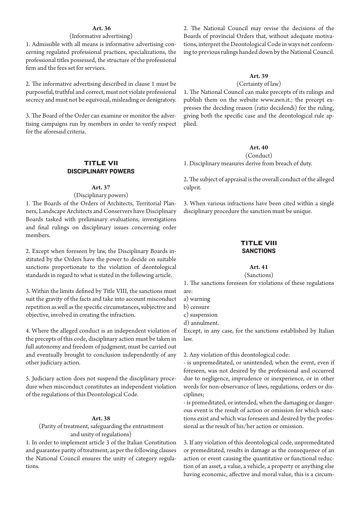## **Art. 36**

# (Informative advertising)

1. Admissible with all means is informative advertising concerning regulated professional practices, specializations, the professional titles possessed, the structure of the professional firm and the fees set for services.

2. The informative advertising described in clause 1 must be purposeful, truthful and correct, must not violate professional secrecy and must not be equivocal, misleading or denigratory.

3. The Board of the Order can examine or monitor the advertising campaigns run by members in order to verify respect for the aforesaid criteria.

# **TITLE VII** DISCIPLINARY POWERS

#### **Art. 37**

(Disciplinary powers)

1. The Boards of the Orders of Architects, Territorial Planners, Landscape Architects and Conservers have Disciplinary Boards tasked with preliminary evaluations, investigations and final rulings on disciplinary issues concerning order members.

2. Except when foreseen by law, the Disciplinary Boards instituted by the Orders have the power to decide on suitable sanctions proportionate to the violation of deontological standards in regard to what is stated in the following article.

3. Within the limits defined by Title VIII, the sanctions must suit the gravity of the facts and take into account misconduct repetition as well as the specific circumstances, subjective and objective, involved in creating the infraction.

4. Where the alleged conduct is an independent violation of the precepts of this code, disciplinary action must be taken in full autonomy and freedom of judgment, must be carried out and eventually brought to conclusion independently of any other judiciary action.

5. Judiciary action does not suspend the disciplinary procedure when misconduct constitutes an independent violation of the regulations of this Deontological Code.

## **Art. 38**

(Parity of treatment, safeguarding the entrustment and unity of regulations)

1. In order to implement article 3 of the Italian Constitution and guarantee parity of treatment, as per the following clauses the National Council ensures the unity of category regulations.

2. The National Council may revise the decisions of the Boards of provincial Orders that, without adequate motivations, interpret the Deontological Code in ways not conforming to previous rulings handed down by the National Council.

#### **Art. 39**

#### (Certainty of law)

1. The National Council can make precepts of its rulings and publish them on the website www.awn.it.; the precept expresses the deciding reason (ratio decidendi) for the ruling, giving both the specific case and the deontological rule applied.

## **Art. 40**

(Conduct)

1. Disciplinary measures derive from breach of duty.

2. The subject of appraisal is the overall conduct of the alleged culprit.

3. When various infractions have been cited within a single disciplinary procedure the sanction must be unique.

# **TITLE VIII SANCTIONS**

## **Art. 41**

#### (Sanctions)

1. The sanctions foreseen for violations of these regulations are:

a) warning

b) censure

c) suspension

d) annulment.

Except, in any case, for the sanctions established by Italian law.

2. Any violation of this deontological code:

- is unpremeditated, or unintended, when the event, even if foreseen, was not desired by the professional and occurred due to negligence, imprudence or inexperience, or in other words for non-observance of laws, regulations, orders or disciplines;

- is premeditated, or intended, when the damaging or dangerous event is the result of action or omission for which sanctions exist and which was foreseen and desired by the professional as the result of his/her action or omission.

3. If any violation of this deontological code, unpremeditated or premeditated, results in damage as the consequence of an action or event causing the quantitative or functional reduction of an asset, a value, a vehicle, a property or anything else having economic, affective and moral value, this is a circum